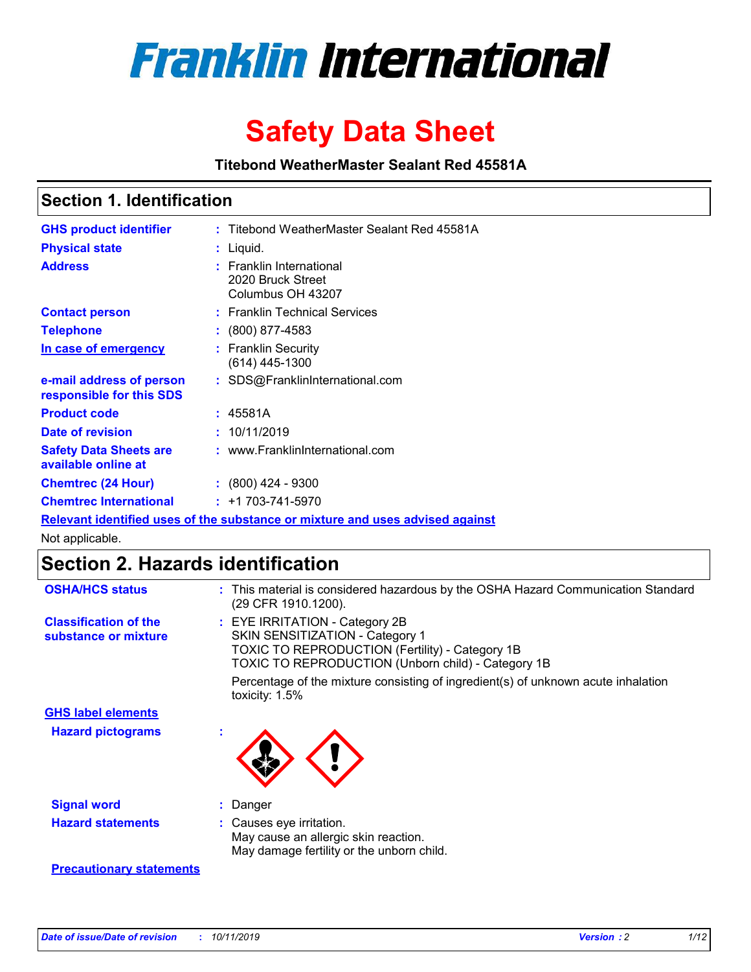

# **Safety Data Sheet**

**Titebond WeatherMaster Sealant Red 45581A**

### **Section 1. Identification**

| <b>GHS product identifier</b>                        | : Titebond WeatherMaster Sealant Red 45581A                                   |
|------------------------------------------------------|-------------------------------------------------------------------------------|
| <b>Physical state</b>                                | : Liquid.                                                                     |
| <b>Address</b>                                       | : Franklin International<br>2020 Bruck Street<br>Columbus OH 43207            |
| <b>Contact person</b>                                | : Franklin Technical Services                                                 |
| <b>Telephone</b>                                     | $\div$ (800) 877-4583                                                         |
| In case of emergency                                 | : Franklin Security<br>(614) 445-1300                                         |
| e-mail address of person<br>responsible for this SDS | : SDS@FranklinInternational.com                                               |
| <b>Product code</b>                                  | : 45581A                                                                      |
| Date of revision                                     | : 10/11/2019                                                                  |
| <b>Safety Data Sheets are</b><br>available online at | : www.FranklinInternational.com                                               |
| <b>Chemtrec (24 Hour)</b>                            | $\div$ (800) 424 - 9300                                                       |
| <b>Chemtrec International</b>                        | $: +1703 - 741 - 5970$                                                        |
|                                                      | Relevant identified uses of the substance or mixture and uses advised against |

Not applicable.

## **Section 2. Hazards identification**

| <b>OSHA/HCS status</b>                               | : This material is considered hazardous by the OSHA Hazard Communication Standard<br>(29 CFR 1910.1200).                                                                                 |
|------------------------------------------------------|------------------------------------------------------------------------------------------------------------------------------------------------------------------------------------------|
| <b>Classification of the</b><br>substance or mixture | : EYE IRRITATION - Category 2B<br>SKIN SENSITIZATION - Category 1<br><b>TOXIC TO REPRODUCTION (Fertility) - Category 1B</b><br><b>TOXIC TO REPRODUCTION (Unborn child) - Category 1B</b> |
|                                                      | Percentage of the mixture consisting of ingredient(s) of unknown acute inhalation<br>toxicity: $1.5\%$                                                                                   |
| <b>GHS label elements</b>                            |                                                                                                                                                                                          |
| <b>Hazard pictograms</b>                             |                                                                                                                                                                                          |
| <b>Signal word</b>                                   | : Danger                                                                                                                                                                                 |
| <b>Hazard statements</b>                             | : Causes eye irritation.<br>May cause an allergic skin reaction.<br>May damage fertility or the unborn child.                                                                            |
| <b>Precautionary statements</b>                      |                                                                                                                                                                                          |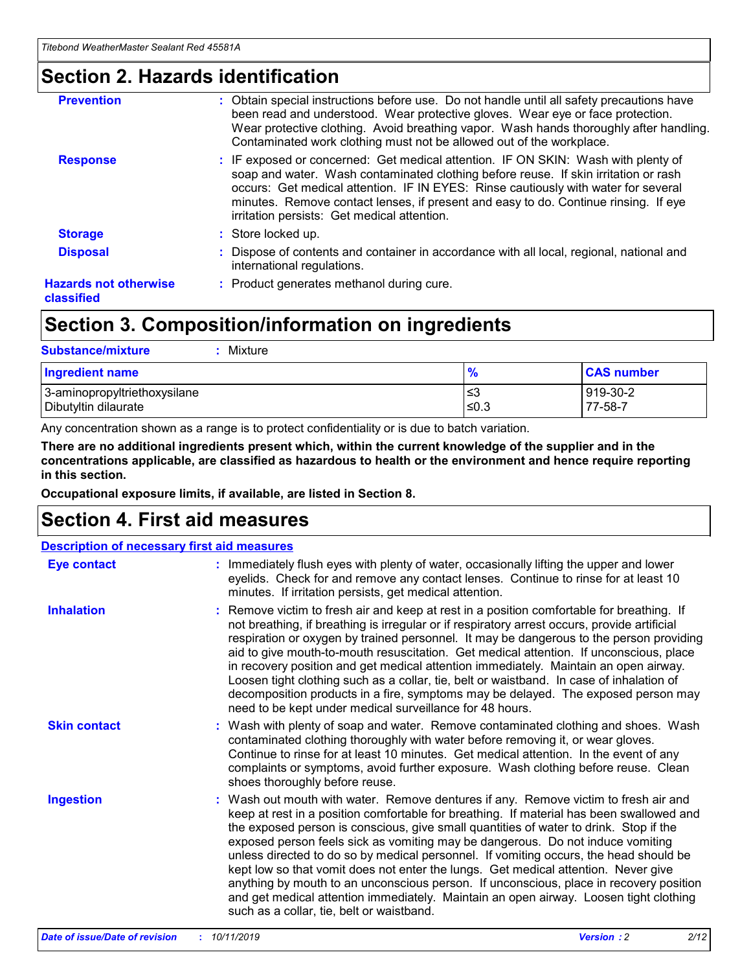### **Section 2. Hazards identification**

| <b>Prevention</b>                          | : Obtain special instructions before use. Do not handle until all safety precautions have<br>been read and understood. Wear protective gloves. Wear eye or face protection.<br>Wear protective clothing. Avoid breathing vapor. Wash hands thoroughly after handling.<br>Contaminated work clothing must not be allowed out of the workplace.                                                        |
|--------------------------------------------|------------------------------------------------------------------------------------------------------------------------------------------------------------------------------------------------------------------------------------------------------------------------------------------------------------------------------------------------------------------------------------------------------|
| <b>Response</b>                            | : IF exposed or concerned: Get medical attention. IF ON SKIN: Wash with plenty of<br>soap and water. Wash contaminated clothing before reuse. If skin irritation or rash<br>occurs: Get medical attention. IF IN EYES: Rinse cautiously with water for several<br>minutes. Remove contact lenses, if present and easy to do. Continue rinsing. If eye<br>irritation persists: Get medical attention. |
| <b>Storage</b>                             | : Store locked up.                                                                                                                                                                                                                                                                                                                                                                                   |
| <b>Disposal</b>                            | : Dispose of contents and container in accordance with all local, regional, national and<br>international regulations.                                                                                                                                                                                                                                                                               |
| <b>Hazards not otherwise</b><br>classified | : Product generates methanol during cure.                                                                                                                                                                                                                                                                                                                                                            |
|                                            |                                                                                                                                                                                                                                                                                                                                                                                                      |

## **Section 3. Composition/information on ingredients**

| <b>Substance/mixture</b><br>Mixture                  |                   |                     |
|------------------------------------------------------|-------------------|---------------------|
| Ingredient name                                      | $\frac{9}{6}$     | <b>CAS number</b>   |
| 3-aminopropyltriethoxysilane<br>Dibutyltin dilaurate | l≤3<br>$\leq 0.3$ | 919-30-2<br>77-58-7 |

Any concentration shown as a range is to protect confidentiality or is due to batch variation.

**There are no additional ingredients present which, within the current knowledge of the supplier and in the concentrations applicable, are classified as hazardous to health or the environment and hence require reporting in this section.**

**Occupational exposure limits, if available, are listed in Section 8.**

## **Section 4. First aid measures**

| <b>Description of necessary first aid measures</b> |                                                                                                                                                                                                                                                                                                                                                                                                                                                                                                                                                                                                                                                                                                                                                                           |  |  |  |
|----------------------------------------------------|---------------------------------------------------------------------------------------------------------------------------------------------------------------------------------------------------------------------------------------------------------------------------------------------------------------------------------------------------------------------------------------------------------------------------------------------------------------------------------------------------------------------------------------------------------------------------------------------------------------------------------------------------------------------------------------------------------------------------------------------------------------------------|--|--|--|
| <b>Eye contact</b>                                 | : Immediately flush eyes with plenty of water, occasionally lifting the upper and lower<br>eyelids. Check for and remove any contact lenses. Continue to rinse for at least 10<br>minutes. If irritation persists, get medical attention.                                                                                                                                                                                                                                                                                                                                                                                                                                                                                                                                 |  |  |  |
| <b>Inhalation</b>                                  | : Remove victim to fresh air and keep at rest in a position comfortable for breathing. If<br>not breathing, if breathing is irregular or if respiratory arrest occurs, provide artificial<br>respiration or oxygen by trained personnel. It may be dangerous to the person providing<br>aid to give mouth-to-mouth resuscitation. Get medical attention. If unconscious, place<br>in recovery position and get medical attention immediately. Maintain an open airway.<br>Loosen tight clothing such as a collar, tie, belt or waistband. In case of inhalation of<br>decomposition products in a fire, symptoms may be delayed. The exposed person may<br>need to be kept under medical surveillance for 48 hours.                                                       |  |  |  |
| <b>Skin contact</b>                                | : Wash with plenty of soap and water. Remove contaminated clothing and shoes. Wash<br>contaminated clothing thoroughly with water before removing it, or wear gloves.<br>Continue to rinse for at least 10 minutes. Get medical attention. In the event of any<br>complaints or symptoms, avoid further exposure. Wash clothing before reuse. Clean<br>shoes thoroughly before reuse.                                                                                                                                                                                                                                                                                                                                                                                     |  |  |  |
| <b>Ingestion</b>                                   | : Wash out mouth with water. Remove dentures if any. Remove victim to fresh air and<br>keep at rest in a position comfortable for breathing. If material has been swallowed and<br>the exposed person is conscious, give small quantities of water to drink. Stop if the<br>exposed person feels sick as vomiting may be dangerous. Do not induce vomiting<br>unless directed to do so by medical personnel. If vomiting occurs, the head should be<br>kept low so that vomit does not enter the lungs. Get medical attention. Never give<br>anything by mouth to an unconscious person. If unconscious, place in recovery position<br>and get medical attention immediately. Maintain an open airway. Loosen tight clothing<br>such as a collar, tie, belt or waistband. |  |  |  |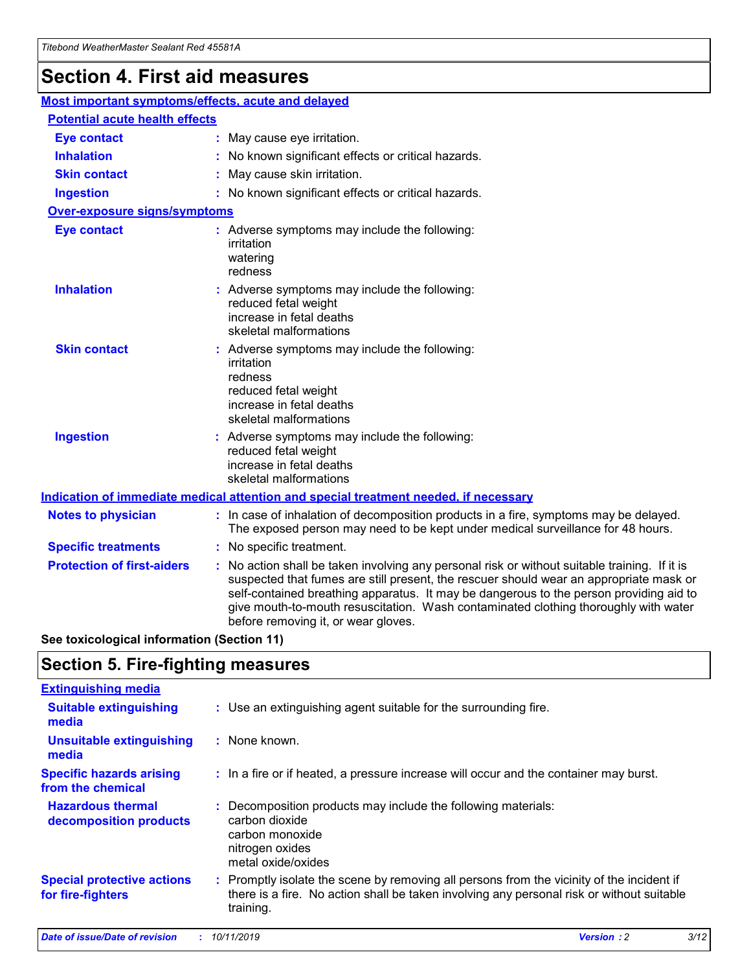## **Section 4. First aid measures**

| Most important symptoms/effects, acute and delayed |                                       |                                                                                                                                                                                                                                                                                                                                                                                                                 |  |  |  |
|----------------------------------------------------|---------------------------------------|-----------------------------------------------------------------------------------------------------------------------------------------------------------------------------------------------------------------------------------------------------------------------------------------------------------------------------------------------------------------------------------------------------------------|--|--|--|
|                                                    | <b>Potential acute health effects</b> |                                                                                                                                                                                                                                                                                                                                                                                                                 |  |  |  |
| <b>Eye contact</b>                                 |                                       | : May cause eye irritation.                                                                                                                                                                                                                                                                                                                                                                                     |  |  |  |
| <b>Inhalation</b>                                  |                                       | : No known significant effects or critical hazards.                                                                                                                                                                                                                                                                                                                                                             |  |  |  |
| <b>Skin contact</b>                                |                                       | : May cause skin irritation.                                                                                                                                                                                                                                                                                                                                                                                    |  |  |  |
| <b>Ingestion</b>                                   |                                       | : No known significant effects or critical hazards.                                                                                                                                                                                                                                                                                                                                                             |  |  |  |
| <b>Over-exposure signs/symptoms</b>                |                                       |                                                                                                                                                                                                                                                                                                                                                                                                                 |  |  |  |
| <b>Eye contact</b>                                 |                                       | : Adverse symptoms may include the following:<br>irritation<br>watering<br>redness                                                                                                                                                                                                                                                                                                                              |  |  |  |
| <b>Inhalation</b>                                  |                                       | : Adverse symptoms may include the following:<br>reduced fetal weight<br>increase in fetal deaths<br>skeletal malformations                                                                                                                                                                                                                                                                                     |  |  |  |
| <b>Skin contact</b>                                |                                       | : Adverse symptoms may include the following:<br>irritation<br>redness<br>reduced fetal weight<br>increase in fetal deaths<br>skeletal malformations                                                                                                                                                                                                                                                            |  |  |  |
| <b>Ingestion</b>                                   |                                       | : Adverse symptoms may include the following:<br>reduced fetal weight<br>increase in fetal deaths<br>skeletal malformations                                                                                                                                                                                                                                                                                     |  |  |  |
|                                                    |                                       | <b>Indication of immediate medical attention and special treatment needed, if necessary</b>                                                                                                                                                                                                                                                                                                                     |  |  |  |
| <b>Notes to physician</b>                          |                                       | : In case of inhalation of decomposition products in a fire, symptoms may be delayed.<br>The exposed person may need to be kept under medical surveillance for 48 hours.                                                                                                                                                                                                                                        |  |  |  |
| <b>Specific treatments</b>                         |                                       | : No specific treatment.                                                                                                                                                                                                                                                                                                                                                                                        |  |  |  |
| <b>Protection of first-aiders</b>                  |                                       | : No action shall be taken involving any personal risk or without suitable training. If it is<br>suspected that fumes are still present, the rescuer should wear an appropriate mask or<br>self-contained breathing apparatus. It may be dangerous to the person providing aid to<br>give mouth-to-mouth resuscitation. Wash contaminated clothing thoroughly with water<br>before removing it, or wear gloves. |  |  |  |

**See toxicological information (Section 11)**

### **Section 5. Fire-fighting measures**

| <b>Extinguishing media</b>                             |                                                                                                                                                                                                     |
|--------------------------------------------------------|-----------------------------------------------------------------------------------------------------------------------------------------------------------------------------------------------------|
| <b>Suitable extinguishing</b><br>media                 | : Use an extinguishing agent suitable for the surrounding fire.                                                                                                                                     |
| <b>Unsuitable extinguishing</b><br>media               | : None known.                                                                                                                                                                                       |
| <b>Specific hazards arising</b><br>from the chemical   | : In a fire or if heated, a pressure increase will occur and the container may burst.                                                                                                               |
| <b>Hazardous thermal</b><br>decomposition products     | : Decomposition products may include the following materials:<br>carbon dioxide<br>carbon monoxide<br>nitrogen oxides<br>metal oxide/oxides                                                         |
| <b>Special protective actions</b><br>for fire-fighters | : Promptly isolate the scene by removing all persons from the vicinity of the incident if<br>there is a fire. No action shall be taken involving any personal risk or without suitable<br>training. |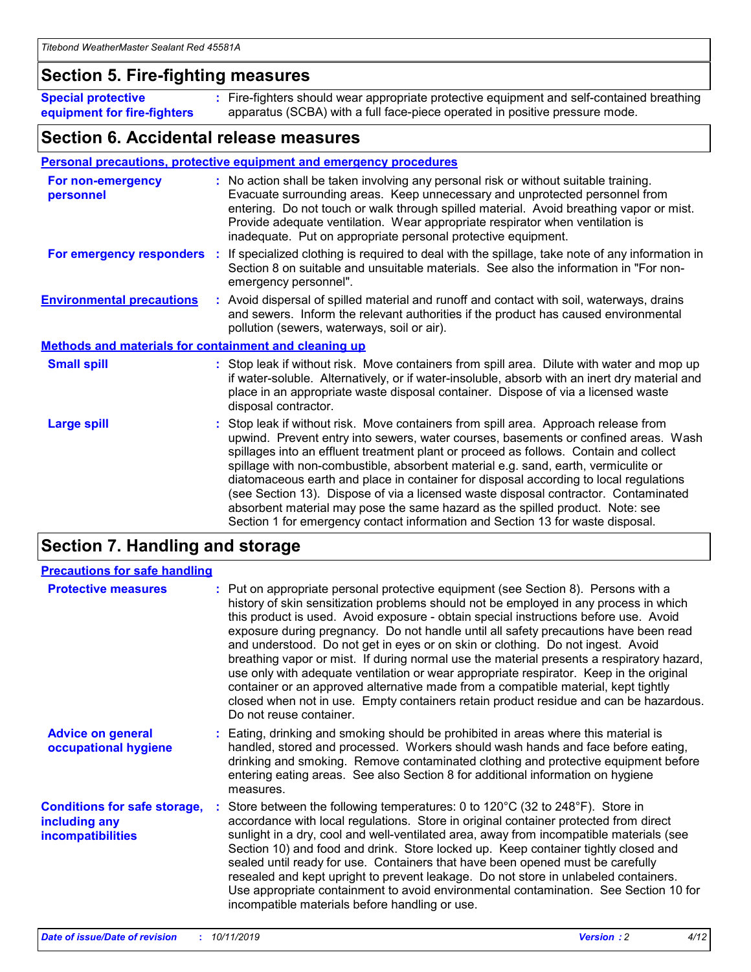### **Section 5. Fire-fighting measures**

**Special protective equipment for fire-fighters** Fire-fighters should wear appropriate protective equipment and self-contained breathing **:** apparatus (SCBA) with a full face-piece operated in positive pressure mode.

### **Section 6. Accidental release measures**

#### **Personal precautions, protective equipment and emergency procedures**

| For non-emergency<br>personnel                               | : No action shall be taken involving any personal risk or without suitable training.<br>Evacuate surrounding areas. Keep unnecessary and unprotected personnel from<br>entering. Do not touch or walk through spilled material. Avoid breathing vapor or mist.<br>Provide adequate ventilation. Wear appropriate respirator when ventilation is<br>inadequate. Put on appropriate personal protective equipment.                                                                                                                                                                                                                                                                                             |
|--------------------------------------------------------------|--------------------------------------------------------------------------------------------------------------------------------------------------------------------------------------------------------------------------------------------------------------------------------------------------------------------------------------------------------------------------------------------------------------------------------------------------------------------------------------------------------------------------------------------------------------------------------------------------------------------------------------------------------------------------------------------------------------|
|                                                              | For emergency responders : If specialized clothing is required to deal with the spillage, take note of any information in<br>Section 8 on suitable and unsuitable materials. See also the information in "For non-<br>emergency personnel".                                                                                                                                                                                                                                                                                                                                                                                                                                                                  |
| <b>Environmental precautions</b>                             | : Avoid dispersal of spilled material and runoff and contact with soil, waterways, drains<br>and sewers. Inform the relevant authorities if the product has caused environmental<br>pollution (sewers, waterways, soil or air).                                                                                                                                                                                                                                                                                                                                                                                                                                                                              |
| <b>Methods and materials for containment and cleaning up</b> |                                                                                                                                                                                                                                                                                                                                                                                                                                                                                                                                                                                                                                                                                                              |
| <b>Small spill</b>                                           | : Stop leak if without risk. Move containers from spill area. Dilute with water and mop up<br>if water-soluble. Alternatively, or if water-insoluble, absorb with an inert dry material and<br>place in an appropriate waste disposal container. Dispose of via a licensed waste<br>disposal contractor.                                                                                                                                                                                                                                                                                                                                                                                                     |
| <b>Large spill</b>                                           | : Stop leak if without risk. Move containers from spill area. Approach release from<br>upwind. Prevent entry into sewers, water courses, basements or confined areas. Wash<br>spillages into an effluent treatment plant or proceed as follows. Contain and collect<br>spillage with non-combustible, absorbent material e.g. sand, earth, vermiculite or<br>diatomaceous earth and place in container for disposal according to local regulations<br>(see Section 13). Dispose of via a licensed waste disposal contractor. Contaminated<br>absorbent material may pose the same hazard as the spilled product. Note: see<br>Section 1 for emergency contact information and Section 13 for waste disposal. |

## **Section 7. Handling and storage**

| <b>Precautions for safe handling</b>                                             |                                                                                                                                                                                                                                                                                                                                                                                                                                                                                                                                                                                                                                                                                                                                                                                                                                                  |
|----------------------------------------------------------------------------------|--------------------------------------------------------------------------------------------------------------------------------------------------------------------------------------------------------------------------------------------------------------------------------------------------------------------------------------------------------------------------------------------------------------------------------------------------------------------------------------------------------------------------------------------------------------------------------------------------------------------------------------------------------------------------------------------------------------------------------------------------------------------------------------------------------------------------------------------------|
| <b>Protective measures</b>                                                       | : Put on appropriate personal protective equipment (see Section 8). Persons with a<br>history of skin sensitization problems should not be employed in any process in which<br>this product is used. Avoid exposure - obtain special instructions before use. Avoid<br>exposure during pregnancy. Do not handle until all safety precautions have been read<br>and understood. Do not get in eyes or on skin or clothing. Do not ingest. Avoid<br>breathing vapor or mist. If during normal use the material presents a respiratory hazard,<br>use only with adequate ventilation or wear appropriate respirator. Keep in the original<br>container or an approved alternative made from a compatible material, kept tightly<br>closed when not in use. Empty containers retain product residue and can be hazardous.<br>Do not reuse container. |
| <b>Advice on general</b><br>occupational hygiene                                 | : Eating, drinking and smoking should be prohibited in areas where this material is<br>handled, stored and processed. Workers should wash hands and face before eating,<br>drinking and smoking. Remove contaminated clothing and protective equipment before<br>entering eating areas. See also Section 8 for additional information on hygiene<br>measures.                                                                                                                                                                                                                                                                                                                                                                                                                                                                                    |
| <b>Conditions for safe storage,</b><br>including any<br><b>incompatibilities</b> | Store between the following temperatures: 0 to 120 $\degree$ C (32 to 248 $\degree$ F). Store in<br>accordance with local regulations. Store in original container protected from direct<br>sunlight in a dry, cool and well-ventilated area, away from incompatible materials (see<br>Section 10) and food and drink. Store locked up. Keep container tightly closed and<br>sealed until ready for use. Containers that have been opened must be carefully<br>resealed and kept upright to prevent leakage. Do not store in unlabeled containers.<br>Use appropriate containment to avoid environmental contamination. See Section 10 for<br>incompatible materials before handling or use.                                                                                                                                                     |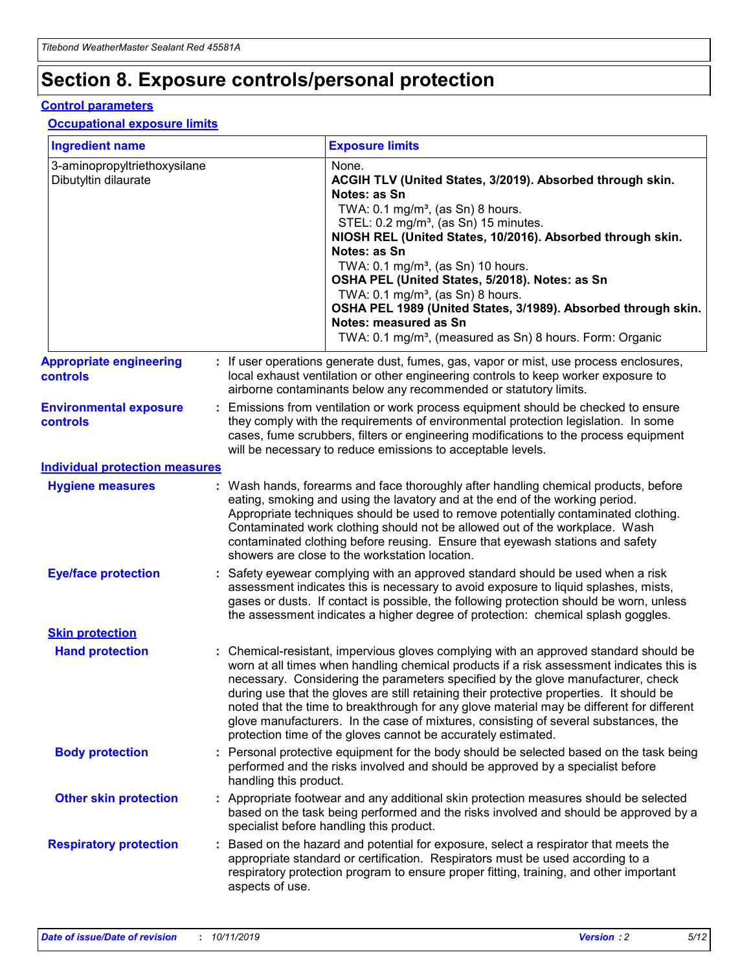## **Section 8. Exposure controls/personal protection**

#### **Control parameters**

#### **Occupational exposure limits**

| <b>Ingredient name</b>                               |    |                        | <b>Exposure limits</b>                                                                                                                                                                                                                                                                                                                                                                                                                                                                                                                                                                                                 |
|------------------------------------------------------|----|------------------------|------------------------------------------------------------------------------------------------------------------------------------------------------------------------------------------------------------------------------------------------------------------------------------------------------------------------------------------------------------------------------------------------------------------------------------------------------------------------------------------------------------------------------------------------------------------------------------------------------------------------|
| 3-aminopropyltriethoxysilane<br>Dibutyltin dilaurate |    |                        | None.<br>ACGIH TLV (United States, 3/2019). Absorbed through skin.<br>Notes: as Sn<br>TWA: $0.1 \text{ mg/m}^3$ , (as Sn) 8 hours.<br>STEL: 0.2 mg/m <sup>3</sup> , (as Sn) 15 minutes.<br>NIOSH REL (United States, 10/2016). Absorbed through skin.<br>Notes: as Sn<br>TWA: 0.1 mg/m <sup>3</sup> , (as Sn) 10 hours.<br>OSHA PEL (United States, 5/2018). Notes: as Sn<br>TWA: $0.1 \text{ mg/m}^3$ , (as Sn) 8 hours.<br>OSHA PEL 1989 (United States, 3/1989). Absorbed through skin.<br>Notes: measured as Sn<br>TWA: 0.1 mg/m <sup>3</sup> , (measured as Sn) 8 hours. Form: Organic                            |
| <b>Appropriate engineering</b><br>controls           |    |                        | : If user operations generate dust, fumes, gas, vapor or mist, use process enclosures,<br>local exhaust ventilation or other engineering controls to keep worker exposure to<br>airborne contaminants below any recommended or statutory limits.                                                                                                                                                                                                                                                                                                                                                                       |
| <b>Environmental exposure</b><br>controls            |    |                        | Emissions from ventilation or work process equipment should be checked to ensure<br>they comply with the requirements of environmental protection legislation. In some<br>cases, fume scrubbers, filters or engineering modifications to the process equipment<br>will be necessary to reduce emissions to acceptable levels.                                                                                                                                                                                                                                                                                          |
| <b>Individual protection measures</b>                |    |                        |                                                                                                                                                                                                                                                                                                                                                                                                                                                                                                                                                                                                                        |
| <b>Hygiene measures</b>                              |    |                        | : Wash hands, forearms and face thoroughly after handling chemical products, before<br>eating, smoking and using the lavatory and at the end of the working period.<br>Appropriate techniques should be used to remove potentially contaminated clothing.<br>Contaminated work clothing should not be allowed out of the workplace. Wash<br>contaminated clothing before reusing. Ensure that eyewash stations and safety<br>showers are close to the workstation location.                                                                                                                                            |
| <b>Eye/face protection</b>                           |    |                        | : Safety eyewear complying with an approved standard should be used when a risk<br>assessment indicates this is necessary to avoid exposure to liquid splashes, mists,<br>gases or dusts. If contact is possible, the following protection should be worn, unless<br>the assessment indicates a higher degree of protection: chemical splash goggles.                                                                                                                                                                                                                                                                  |
| <b>Skin protection</b>                               |    |                        |                                                                                                                                                                                                                                                                                                                                                                                                                                                                                                                                                                                                                        |
| <b>Hand protection</b>                               |    |                        | : Chemical-resistant, impervious gloves complying with an approved standard should be<br>worn at all times when handling chemical products if a risk assessment indicates this is<br>necessary. Considering the parameters specified by the glove manufacturer, check<br>during use that the gloves are still retaining their protective properties. It should be<br>noted that the time to breakthrough for any glove material may be different for different<br>glove manufacturers. In the case of mixtures, consisting of several substances, the<br>protection time of the gloves cannot be accurately estimated. |
| <b>Body protection</b>                               |    | handling this product. | Personal protective equipment for the body should be selected based on the task being<br>performed and the risks involved and should be approved by a specialist before                                                                                                                                                                                                                                                                                                                                                                                                                                                |
| <b>Other skin protection</b>                         |    |                        | : Appropriate footwear and any additional skin protection measures should be selected<br>based on the task being performed and the risks involved and should be approved by a<br>specialist before handling this product.                                                                                                                                                                                                                                                                                                                                                                                              |
| <b>Respiratory protection</b>                        | ÷. | aspects of use.        | Based on the hazard and potential for exposure, select a respirator that meets the<br>appropriate standard or certification. Respirators must be used according to a<br>respiratory protection program to ensure proper fitting, training, and other important                                                                                                                                                                                                                                                                                                                                                         |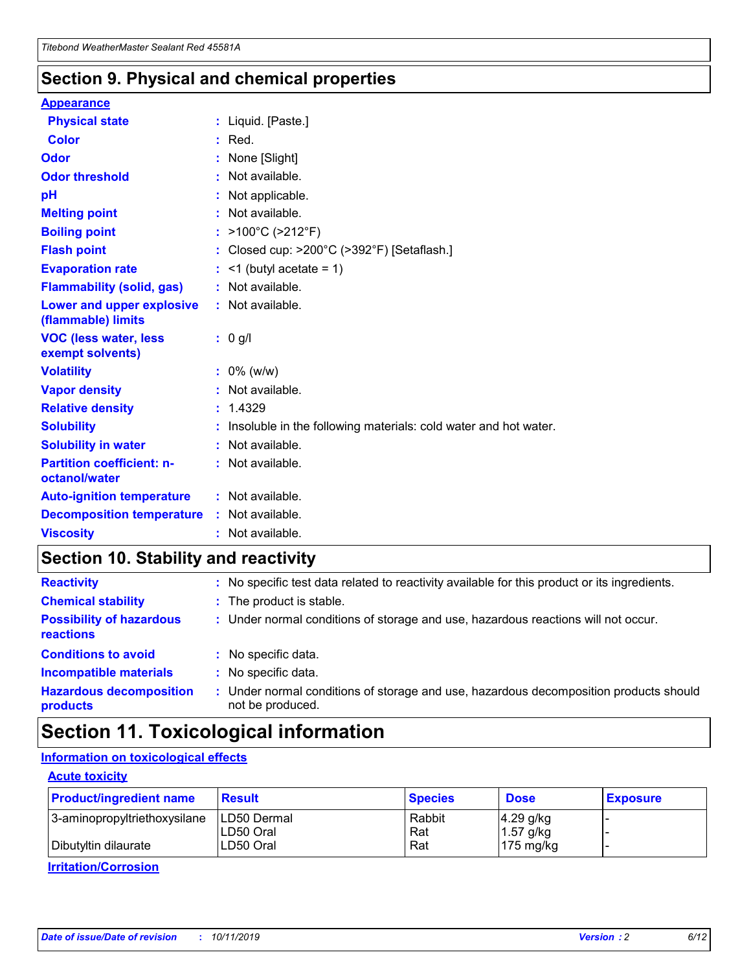### **Section 9. Physical and chemical properties**

#### **Appearance**

| <b>Physical state</b>                             | : Liquid. [Paste.]                                                |
|---------------------------------------------------|-------------------------------------------------------------------|
| Color                                             | $:$ Red.                                                          |
| Odor                                              | : None [Slight]                                                   |
| <b>Odor threshold</b>                             | : Not available.                                                  |
| рH                                                | : Not applicable.                                                 |
| <b>Melting point</b>                              | : Not available.                                                  |
| <b>Boiling point</b>                              | : $>100^{\circ}$ C ( $>212^{\circ}$ F)                            |
| <b>Flash point</b>                                | : Closed cup: $>200^{\circ}$ C ( $>392^{\circ}$ F) [Setaflash.]   |
| <b>Evaporation rate</b>                           | $:$ <1 (butyl acetate = 1)                                        |
| <b>Flammability (solid, gas)</b>                  | : Not available.                                                  |
| Lower and upper explosive<br>(flammable) limits   | : Not available.                                                  |
| <b>VOC (less water, less</b><br>exempt solvents)  | $: 0$ g/l                                                         |
| <b>Volatility</b>                                 | $: 0\%$ (w/w)                                                     |
| <b>Vapor density</b>                              | : Not available.                                                  |
| <b>Relative density</b>                           | : 1.4329                                                          |
| <b>Solubility</b>                                 | : Insoluble in the following materials: cold water and hot water. |
| <b>Solubility in water</b>                        | : Not available.                                                  |
| <b>Partition coefficient: n-</b><br>octanol/water | : Not available.                                                  |
| <b>Auto-ignition temperature</b>                  | $:$ Not available.                                                |
| <b>Decomposition temperature</b>                  | : Not available.                                                  |
| <b>Viscosity</b>                                  | : Not available.                                                  |

## **Section 10. Stability and reactivity**

| <b>Reactivity</b>                            |    | : No specific test data related to reactivity available for this product or its ingredients.            |
|----------------------------------------------|----|---------------------------------------------------------------------------------------------------------|
| <b>Chemical stability</b>                    |    | : The product is stable.                                                                                |
| <b>Possibility of hazardous</b><br>reactions |    | : Under normal conditions of storage and use, hazardous reactions will not occur.                       |
| <b>Conditions to avoid</b>                   |    | : No specific data.                                                                                     |
| <b>Incompatible materials</b>                | ٠. | No specific data.                                                                                       |
| <b>Hazardous decomposition</b><br>products   | ÷. | Under normal conditions of storage and use, hazardous decomposition products should<br>not be produced. |

## **Section 11. Toxicological information**

#### **Information on toxicological effects**

#### **Acute toxicity**

| <b>Product/ingredient name</b> | <b>Result</b>           | <b>Species</b> | <b>Dose</b>                | <b>Exposure</b> |
|--------------------------------|-------------------------|----------------|----------------------------|-----------------|
| 3-aminopropyltriethoxysilane   | <b>ILD50 Dermal</b>     | Rabbit         | 4.29 g/kg                  |                 |
| Dibutyltin dilaurate           | ILD50 Oral<br>LD50 Oral | Rat<br>Rat     | $1.57$ g/kg<br>175 $mg/kg$ |                 |
|                                |                         |                |                            |                 |

**Irritation/Corrosion**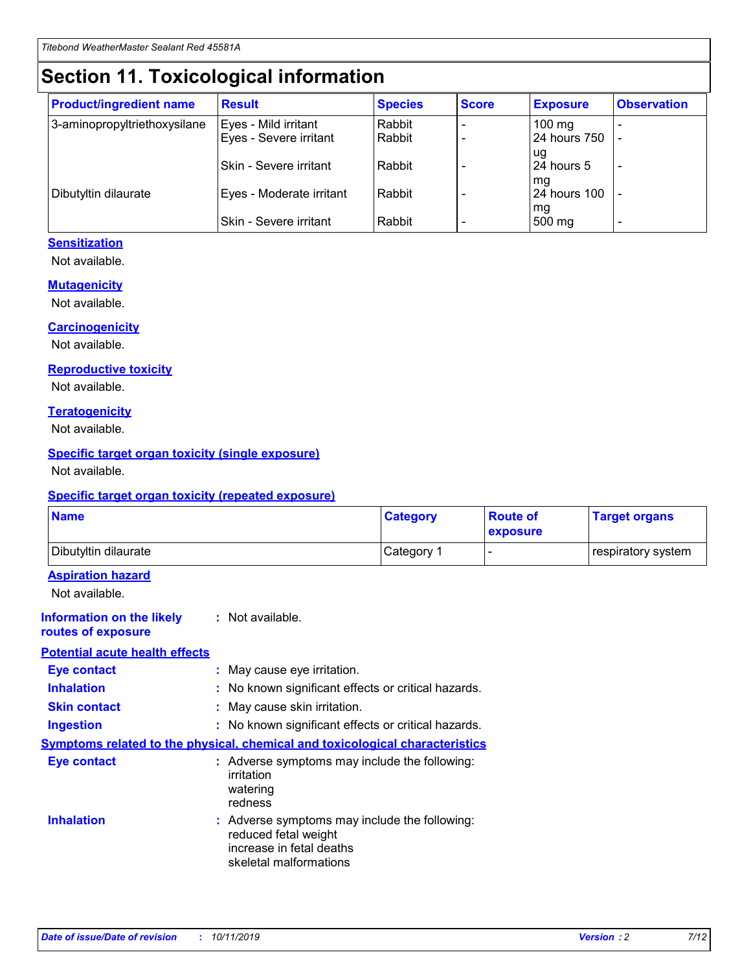## **Section 11. Toxicological information**

| <b>Product/ingredient name</b> | <b>Result</b>            | <b>Species</b> | <b>Score</b> | <b>Exposure</b>     | <b>Observation</b> |
|--------------------------------|--------------------------|----------------|--------------|---------------------|--------------------|
| 3-aminopropyltriethoxysilane   | Eyes - Mild irritant     | Rabbit         |              | $100 \text{ mg}$    |                    |
|                                | Eyes - Severe irritant   | Rabbit         |              | 24 hours 750        |                    |
|                                |                          |                |              | ug                  |                    |
|                                | Skin - Severe irritant   | Rabbit         |              | 24 hours 5          |                    |
|                                |                          |                |              | mq                  |                    |
| Dibutyltin dilaurate           | Eyes - Moderate irritant | Rabbit         |              | <b>24 hours 100</b> |                    |
|                                | Skin - Severe irritant   | Rabbit         |              | mg<br>500 mg        |                    |
|                                |                          |                |              |                     |                    |

#### **Sensitization**

Not available.

#### **Mutagenicity**

Not available.

#### **Carcinogenicity**

Not available.

#### **Reproductive toxicity**

Not available.

#### **Teratogenicity**

Not available.

#### **Specific target organ toxicity (single exposure)**

Not available.

#### **Specific target organ toxicity (repeated exposure)**

| <b>Name</b>                                                                  |                                                                                                                             | <b>Category</b> | <b>Route of</b><br>exposure  | <b>Target organs</b> |
|------------------------------------------------------------------------------|-----------------------------------------------------------------------------------------------------------------------------|-----------------|------------------------------|----------------------|
| Dibutyltin dilaurate                                                         |                                                                                                                             | Category 1      | $\qquad \qquad \blacksquare$ | respiratory system   |
| <b>Aspiration hazard</b><br>Not available.                                   |                                                                                                                             |                 |                              |                      |
| <b>Information on the likely</b><br>routes of exposure                       | : Not available.                                                                                                            |                 |                              |                      |
| <b>Potential acute health effects</b>                                        |                                                                                                                             |                 |                              |                      |
| <b>Eye contact</b>                                                           | : May cause eye irritation.                                                                                                 |                 |                              |                      |
| <b>Inhalation</b>                                                            | : No known significant effects or critical hazards.                                                                         |                 |                              |                      |
| <b>Skin contact</b>                                                          | : May cause skin irritation.                                                                                                |                 |                              |                      |
| <b>Ingestion</b>                                                             | : No known significant effects or critical hazards.                                                                         |                 |                              |                      |
| Symptoms related to the physical, chemical and toxicological characteristics |                                                                                                                             |                 |                              |                      |
| <b>Eye contact</b>                                                           | : Adverse symptoms may include the following:<br>irritation<br>watering<br>redness                                          |                 |                              |                      |
| <b>Inhalation</b>                                                            | : Adverse symptoms may include the following:<br>reduced fetal weight<br>increase in fetal deaths<br>skeletal malformations |                 |                              |                      |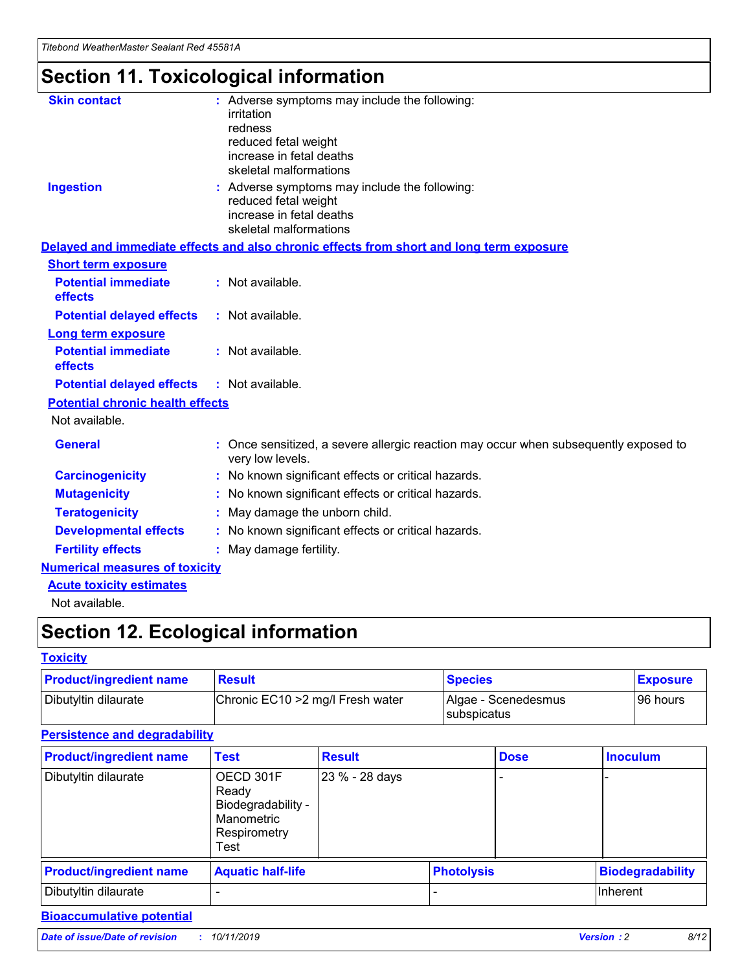## **Section 11. Toxicological information**

| <b>Skin contact</b>                     | : Adverse symptoms may include the following:<br>irritation<br>redness<br>reduced fetal weight<br>increase in fetal deaths<br>skeletal malformations |
|-----------------------------------------|------------------------------------------------------------------------------------------------------------------------------------------------------|
| <b>Ingestion</b>                        | : Adverse symptoms may include the following:<br>reduced fetal weight<br>increase in fetal deaths<br>skeletal malformations                          |
|                                         | Delayed and immediate effects and also chronic effects from short and long term exposure                                                             |
| <b>Short term exposure</b>              |                                                                                                                                                      |
| <b>Potential immediate</b><br>effects   | : Not available.                                                                                                                                     |
| <b>Potential delayed effects</b>        | : Not available.                                                                                                                                     |
| <b>Long term exposure</b>               |                                                                                                                                                      |
| <b>Potential immediate</b><br>effects   | : Not available.                                                                                                                                     |
| <b>Potential delayed effects</b>        | : Not available.                                                                                                                                     |
| <b>Potential chronic health effects</b> |                                                                                                                                                      |
| Not available.                          |                                                                                                                                                      |
| <b>General</b>                          | : Once sensitized, a severe allergic reaction may occur when subsequently exposed to<br>very low levels.                                             |
| <b>Carcinogenicity</b>                  | : No known significant effects or critical hazards.                                                                                                  |
| <b>Mutagenicity</b>                     | No known significant effects or critical hazards.                                                                                                    |
| <b>Teratogenicity</b>                   | May damage the unborn child.                                                                                                                         |
| <b>Developmental effects</b>            | No known significant effects or critical hazards.                                                                                                    |
| <b>Fertility effects</b>                | : May damage fertility.                                                                                                                              |
| <b>Numerical measures of toxicity</b>   |                                                                                                                                                      |
| <b>Acute toxicity estimates</b>         |                                                                                                                                                      |
|                                         |                                                                                                                                                      |

Not available.

## **Section 12. Ecological information**

#### **Toxicity**

| <b>Product/ingredient name</b> | <b>Result</b>                     | <b>Species</b>                       | <b>Exposure</b> |
|--------------------------------|-----------------------------------|--------------------------------------|-----------------|
| Dibutyltin dilaurate           | Chronic EC10 > 2 mg/l Fresh water | Algae - Scenedesmus<br>I subspicatus | l 96 hours i    |

#### **Persistence and degradability**

| <b>Product/ingredient name</b> | <b>Test</b>                                                                    | <b>Result</b>  |  | <b>Dose</b>       | <b>Inoculum</b>         |
|--------------------------------|--------------------------------------------------------------------------------|----------------|--|-------------------|-------------------------|
| Dibutyltin dilaurate           | OECD 301F<br>Ready<br>Biodegradability -<br>Manometric<br>Respirometry<br>Test | 23 % - 28 days |  |                   |                         |
| <b>Product/ingredient name</b> | <b>Aquatic half-life</b>                                                       |                |  | <b>Photolysis</b> | <b>Biodegradability</b> |
| Dibutyltin dilaurate           |                                                                                |                |  |                   | Inherent                |

#### **Bioaccumulative potential**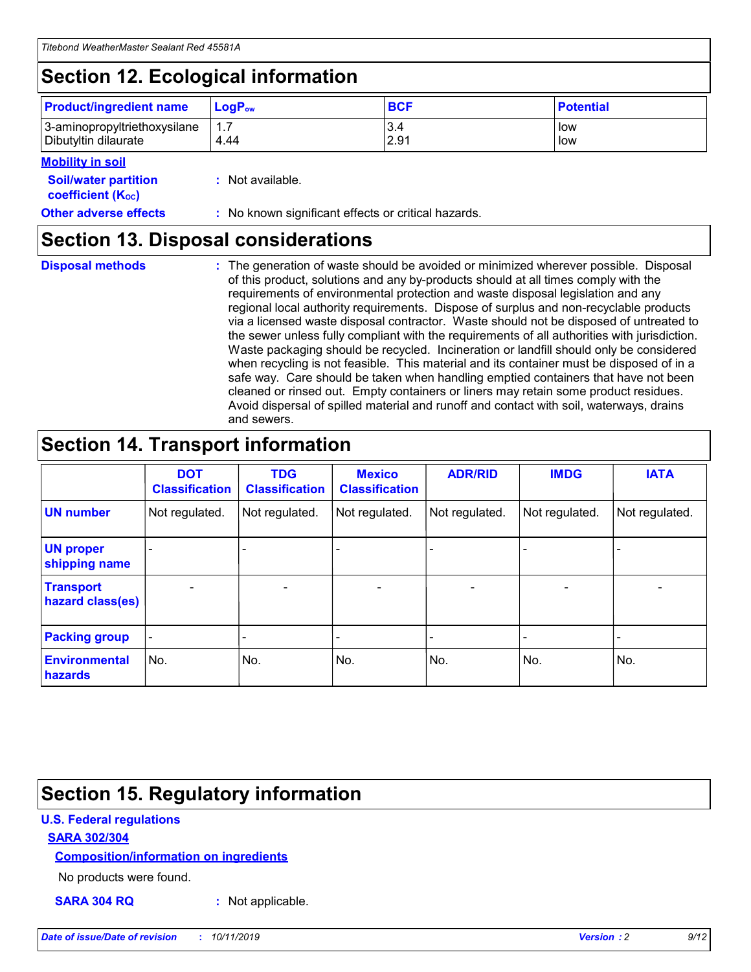## **Section 12. Ecological information**

| <b>Product/ingredient name</b> | $LoaPow$ | <b>BCF</b> | <b>Potential</b> |
|--------------------------------|----------|------------|------------------|
| 3-aminopropyltriethoxysilane   | 1.7      | 3.4        | low              |
| Dibutyltin dilaurate           | 4.44     | 2.91       | low              |

#### **Mobility in soil**

| <b>Soil/water partition</b><br>coefficient (K <sub>oc</sub> ) | : Not available.                                    |
|---------------------------------------------------------------|-----------------------------------------------------|
| <b>Other adverse effects</b>                                  | : No known significant effects or critical hazards. |

### **Section 13. Disposal considerations**

| <b>Disposal methods</b> |  |  |
|-------------------------|--|--|

**Disposal methods** : The generation of waste should be avoided or minimized wherever possible. Disposal of this product, solutions and any by-products should at all times comply with the requirements of environmental protection and waste disposal legislation and any regional local authority requirements. Dispose of surplus and non-recyclable products via a licensed waste disposal contractor. Waste should not be disposed of untreated to the sewer unless fully compliant with the requirements of all authorities with jurisdiction. Waste packaging should be recycled. Incineration or landfill should only be considered when recycling is not feasible. This material and its container must be disposed of in a safe way. Care should be taken when handling emptied containers that have not been cleaned or rinsed out. Empty containers or liners may retain some product residues. Avoid dispersal of spilled material and runoff and contact with soil, waterways, drains and sewers.

## **Section 14. Transport information**

|                                      | <b>DOT</b><br><b>Classification</b> | <b>TDG</b><br><b>Classification</b> | <b>Mexico</b><br><b>Classification</b> | <b>ADR/RID</b>           | <b>IMDG</b>              | <b>IATA</b>    |
|--------------------------------------|-------------------------------------|-------------------------------------|----------------------------------------|--------------------------|--------------------------|----------------|
| <b>UN number</b>                     | Not regulated.                      | Not regulated.                      | Not regulated.                         | Not regulated.           | Not regulated.           | Not regulated. |
| <b>UN proper</b><br>shipping name    |                                     |                                     |                                        |                          |                          |                |
| <b>Transport</b><br>hazard class(es) | $\overline{\phantom{a}}$            | $\overline{\phantom{0}}$            | $\overline{\phantom{0}}$               | $\overline{\phantom{0}}$ | $\overline{\phantom{0}}$ | $\blacksquare$ |
| <b>Packing group</b>                 | $\overline{\phantom{a}}$            |                                     |                                        |                          | -                        |                |
| <b>Environmental</b><br>hazards      | No.                                 | No.                                 | No.                                    | No.                      | No.                      | No.            |

## **Section 15. Regulatory information**

#### **U.S. Federal regulations**

#### **SARA 302/304**

#### **Composition/information on ingredients**

No products were found.

**SARA 304 RQ :** Not applicable.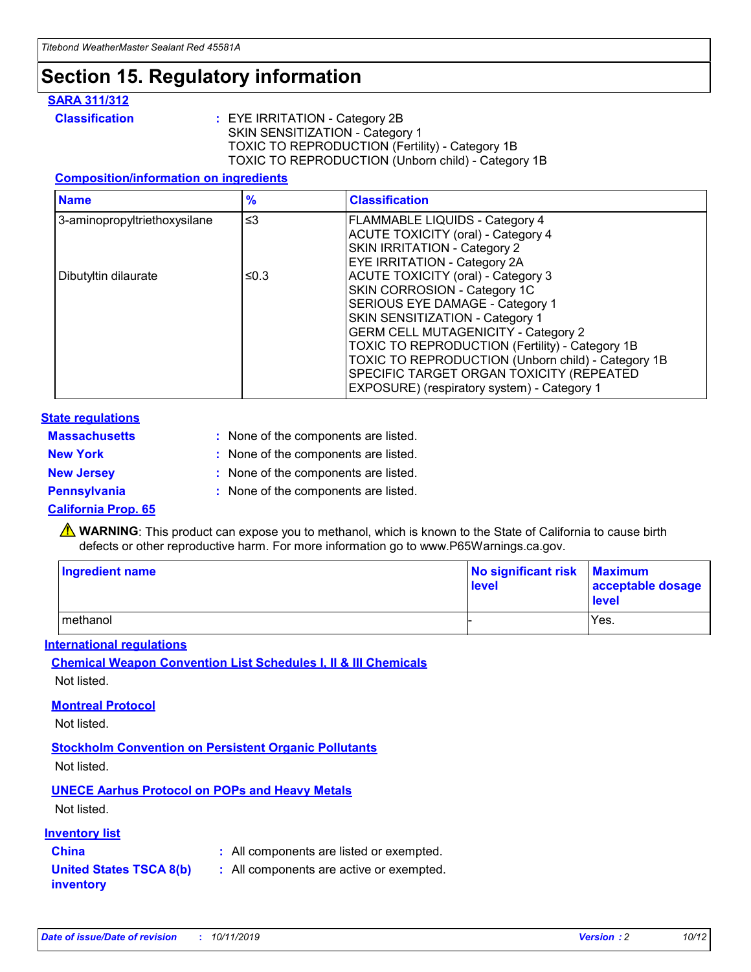## **Section 15. Regulatory information**

#### **SARA 311/312**

**Classification :** EYE IRRITATION - Category 2B SKIN SENSITIZATION - Category 1 TOXIC TO REPRODUCTION (Fertility) - Category 1B TOXIC TO REPRODUCTION (Unborn child) - Category 1B

#### **Composition/information on ingredients**

| <b>Name</b>                  | $\frac{9}{6}$ | <b>Classification</b>                                  |
|------------------------------|---------------|--------------------------------------------------------|
| 3-aminopropyltriethoxysilane | $\leq$ 3      | <b>FLAMMABLE LIQUIDS - Category 4</b>                  |
|                              |               | <b>ACUTE TOXICITY (oral) - Category 4</b>              |
|                              |               | SKIN IRRITATION - Category 2                           |
|                              |               | EYE IRRITATION - Category 2A                           |
| Dibutyltin dilaurate         | ≤0.3          | <b>ACUTE TOXICITY (oral) - Category 3</b>              |
|                              |               | SKIN CORROSION - Category 1C                           |
|                              |               | SERIOUS EYE DAMAGE - Category 1                        |
|                              |               | SKIN SENSITIZATION - Category 1                        |
|                              |               | <b>GERM CELL MUTAGENICITY - Category 2</b>             |
|                              |               | <b>TOXIC TO REPRODUCTION (Fertility) - Category 1B</b> |
|                              |               | TOXIC TO REPRODUCTION (Unborn child) - Category 1B     |
|                              |               | SPECIFIC TARGET ORGAN TOXICITY (REPEATED               |
|                              |               | EXPOSURE) (respiratory system) - Category 1            |

#### **State regulations**

| <b>Massachusetts</b> | : None of the components are listed. |
|----------------------|--------------------------------------|
| <b>New York</b>      | : None of the components are listed. |
| <b>New Jersey</b>    | : None of the components are listed. |
| <b>Pennsylvania</b>  | : None of the components are listed. |

#### **California Prop. 65**

**A** WARNING: This product can expose you to methanol, which is known to the State of California to cause birth defects or other reproductive harm. For more information go to www.P65Warnings.ca.gov.

| <b>Ingredient name</b> | No significant risk Maximum<br>level | acceptable dosage<br>level |
|------------------------|--------------------------------------|----------------------------|
| methanol               |                                      | Yes.                       |

#### **International regulations**

**Chemical Weapon Convention List Schedules I, II & III Chemicals** Not listed.

#### **Montreal Protocol**

Not listed.

**Stockholm Convention on Persistent Organic Pollutants**

Not listed.

#### **UNECE Aarhus Protocol on POPs and Heavy Metals**

Not listed.

#### **Inventory list**

### **China :** All components are listed or exempted.

**United States TSCA 8(b) inventory :** All components are active or exempted.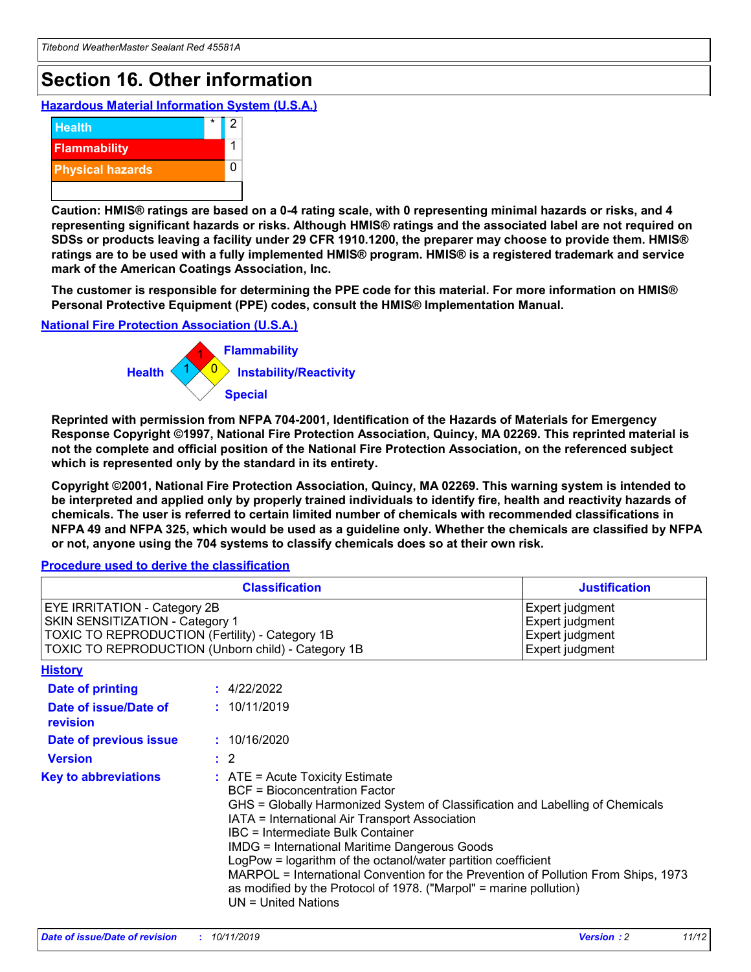## **Section 16. Other information**

**Hazardous Material Information System (U.S.A.)**



**Caution: HMIS® ratings are based on a 0-4 rating scale, with 0 representing minimal hazards or risks, and 4 representing significant hazards or risks. Although HMIS® ratings and the associated label are not required on SDSs or products leaving a facility under 29 CFR 1910.1200, the preparer may choose to provide them. HMIS® ratings are to be used with a fully implemented HMIS® program. HMIS® is a registered trademark and service mark of the American Coatings Association, Inc.**

**The customer is responsible for determining the PPE code for this material. For more information on HMIS® Personal Protective Equipment (PPE) codes, consult the HMIS® Implementation Manual.**

#### **National Fire Protection Association (U.S.A.)**



**Reprinted with permission from NFPA 704-2001, Identification of the Hazards of Materials for Emergency Response Copyright ©1997, National Fire Protection Association, Quincy, MA 02269. This reprinted material is not the complete and official position of the National Fire Protection Association, on the referenced subject which is represented only by the standard in its entirety.**

**Copyright ©2001, National Fire Protection Association, Quincy, MA 02269. This warning system is intended to be interpreted and applied only by properly trained individuals to identify fire, health and reactivity hazards of chemicals. The user is referred to certain limited number of chemicals with recommended classifications in NFPA 49 and NFPA 325, which would be used as a guideline only. Whether the chemicals are classified by NFPA or not, anyone using the 704 systems to classify chemicals does so at their own risk.**

#### **Procedure used to derive the classification**

|                                                                                                                    | <b>Classification</b>                                                                                                                                                                                                                                                                                                                                                                                                                                                                                                                                         | <b>Justification</b>                                                     |
|--------------------------------------------------------------------------------------------------------------------|---------------------------------------------------------------------------------------------------------------------------------------------------------------------------------------------------------------------------------------------------------------------------------------------------------------------------------------------------------------------------------------------------------------------------------------------------------------------------------------------------------------------------------------------------------------|--------------------------------------------------------------------------|
| EYE IRRITATION - Category 2B<br>SKIN SENSITIZATION - Category 1<br>TOXIC TO REPRODUCTION (Fertility) - Category 1B | TOXIC TO REPRODUCTION (Unborn child) - Category 1B                                                                                                                                                                                                                                                                                                                                                                                                                                                                                                            | Expert judgment<br>Expert judgment<br>Expert judgment<br>Expert judgment |
| <b>History</b>                                                                                                     |                                                                                                                                                                                                                                                                                                                                                                                                                                                                                                                                                               |                                                                          |
| <b>Date of printing</b>                                                                                            | : 4/22/2022                                                                                                                                                                                                                                                                                                                                                                                                                                                                                                                                                   |                                                                          |
| Date of issue/Date of<br>revision                                                                                  | : 10/11/2019                                                                                                                                                                                                                                                                                                                                                                                                                                                                                                                                                  |                                                                          |
| Date of previous issue                                                                                             | : 10/16/2020                                                                                                                                                                                                                                                                                                                                                                                                                                                                                                                                                  |                                                                          |
| <b>Version</b>                                                                                                     | $\therefore$ 2                                                                                                                                                                                                                                                                                                                                                                                                                                                                                                                                                |                                                                          |
| <b>Key to abbreviations</b>                                                                                        | $:$ ATE = Acute Toxicity Estimate<br><b>BCF</b> = Bioconcentration Factor<br>GHS = Globally Harmonized System of Classification and Labelling of Chemicals<br>IATA = International Air Transport Association<br>IBC = Intermediate Bulk Container<br><b>IMDG = International Maritime Dangerous Goods</b><br>LogPow = logarithm of the octanol/water partition coefficient<br>MARPOL = International Convention for the Prevention of Pollution From Ships, 1973<br>as modified by the Protocol of 1978. ("Marpol" = marine pollution)<br>UN = United Nations |                                                                          |